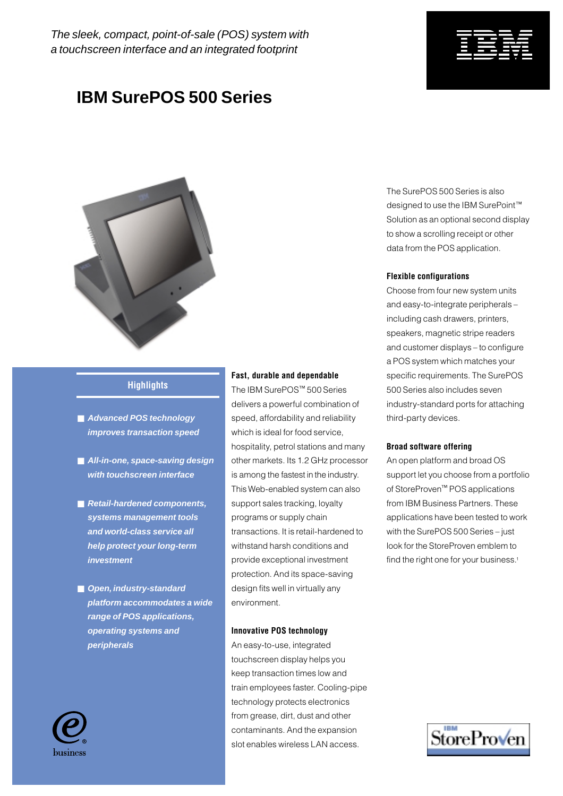# **IBM SurePOS 500 Series**



# **Highlights**

- Advanced POS technology **improves transaction speed**
- All-in-one, space-saving design **with touchscreen interface**
- Retail-hardened components. **systems management tools and world-class service all help protect your long-term investment**
- Open, industry-standard **platform accommodates a wide range of POS applications, operating systems and peripherals**

### **Fast, durable and dependable**

The IBM SurePOS™ 500 Series delivers a powerful combination of speed, affordability and reliability which is ideal for food service, hospitality, petrol stations and many other markets. Its 1.2 GHz processor is among the fastest in the industry. This Web-enabled system can also support sales tracking, loyalty programs or supply chain transactions. It is retail-hardened to withstand harsh conditions and provide exceptional investment protection. And its space-saving design fits well in virtually any environment.

### **Innovative POS technology**

An easy-to-use, integrated touchscreen display helps you keep transaction times low and train employees faster. Cooling-pipe technology protects electronics from grease, dirt, dust and other contaminants. And the expansion slot enables wireless LAN access.

The SurePOS 500 Series is also designed to use the IBM SurePoint™ Solution as an optional second display to show a scrolling receipt or other data from the POS application.

### **Flexible configurations**

Choose from four new system units and easy-to-integrate peripherals – including cash drawers, printers, speakers, magnetic stripe readers and customer displays – to configure a POS system which matches your specific requirements. The SurePOS 500 Series also includes seven industry-standard ports for attaching third-party devices.

#### **Broad software offering**

An open platform and broad OS support let you choose from a portfolio of StoreProven™ POS applications from IBM Business Partners. These applications have been tested to work with the SurePOS 500 Series – just look for the StoreProven emblem to find the right one for your business.<sup>1</sup>





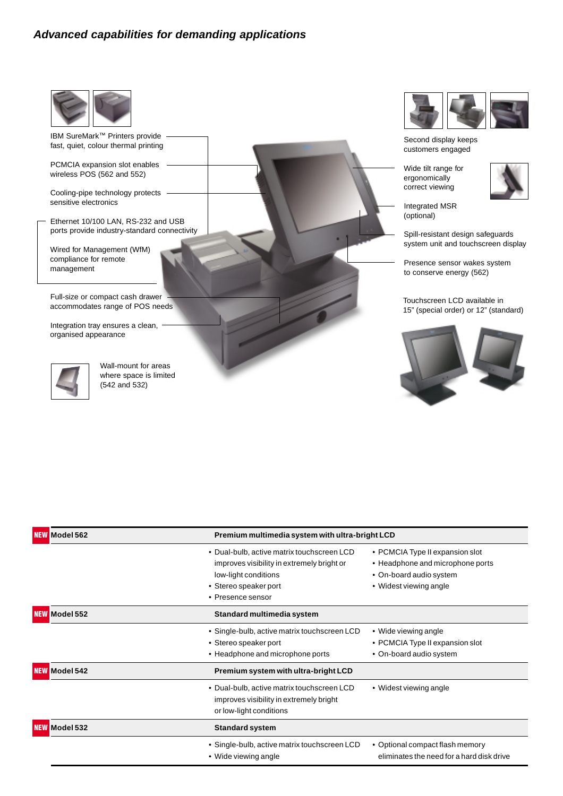# **Advanced capabilities for demanding applications**



IBM SureMark™ Printers provide fast, quiet, colour thermal printing

PCMCIA expansion slot enables wireless POS (562 and 552)

Cooling-pipe technology protects sensitive electronics

Ethernet 10/100 LAN, RS-232 and USB ports provide industry-standard connectivity

Wired for Management (WfM) compliance for remote management

Full-size or compact cash drawer accommodates range of POS needs

Integration tray ensures a clean, organised appearance



Wall-mount for areas where space is limited (542 and 532)



Second display keeps customers engaged

Wide tilt range for ergonomically correct viewing



Integrated MSR (optional)

Spill-resistant design safeguards system unit and touchscreen display

Presence sensor wakes system to conserve energy (562)

Touchscreen LCD available in 15" (special order) or 12" (standard)



| <b>NEW Model 562</b> | Premium multimedia system with ultra-bright LCD                                                                                                                |                                                                                                                          |
|----------------------|----------------------------------------------------------------------------------------------------------------------------------------------------------------|--------------------------------------------------------------------------------------------------------------------------|
|                      | • Dual-bulb, active matrix touchscreen LCD<br>improves visibility in extremely bright or<br>low-light conditions<br>• Stereo speaker port<br>• Presence sensor | • PCMCIA Type II expansion slot<br>• Headphone and microphone ports<br>• On-board audio system<br>• Widest viewing angle |
| <b>NEW Model 552</b> | Standard multimedia system                                                                                                                                     |                                                                                                                          |
|                      | • Single-bulb, active matrix touchscreen LCD<br>• Stereo speaker port<br>• Headphone and microphone ports                                                      | • Wide viewing angle<br>• PCMCIA Type II expansion slot<br>• On-board audio system                                       |
| <b>NEW Model 542</b> | Premium system with ultra-bright LCD                                                                                                                           |                                                                                                                          |
|                      | • Dual-bulb, active matrix touchscreen LCD<br>improves visibility in extremely bright<br>or low-light conditions                                               | • Widest viewing angle                                                                                                   |
| <b>NEW Model 532</b> | <b>Standard system</b>                                                                                                                                         |                                                                                                                          |
|                      | • Single-bulb, active matrix touchscreen LCD<br>• Wide viewing angle                                                                                           | • Optional compact flash memory<br>eliminates the need for a hard disk drive                                             |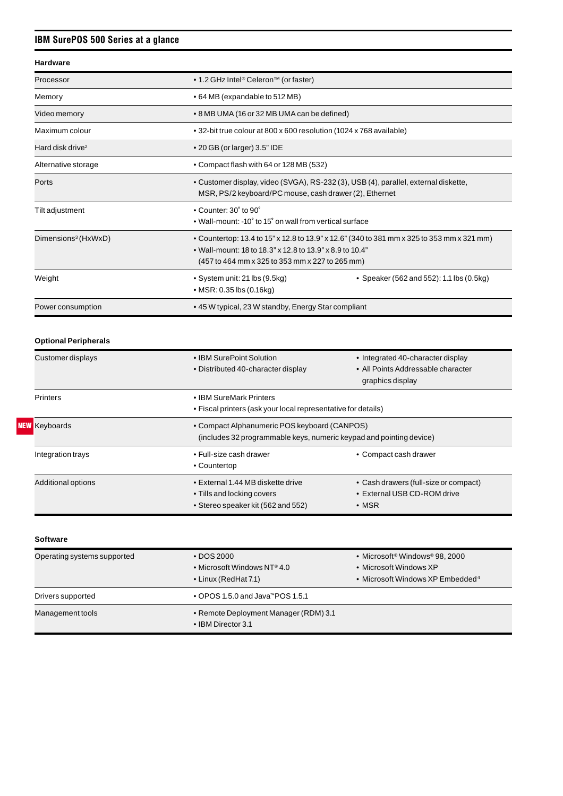# **IBM SurePOS 500 Series at a glance**

### **Hardware**

| Processor                       | • 1.2 GHz Intel <sup>®</sup> Celeron <sup>™</sup> (or faster)                                                                                                                                             |  |
|---------------------------------|-----------------------------------------------------------------------------------------------------------------------------------------------------------------------------------------------------------|--|
| Memory                          | • 64 MB (expandable to 512 MB)                                                                                                                                                                            |  |
| Video memory                    | • 8 MB UMA (16 or 32 MB UMA can be defined)                                                                                                                                                               |  |
| Maximum colour                  | • 32-bit true colour at 800 x 600 resolution (1024 x 768 available)                                                                                                                                       |  |
| Hard disk drive <sup>2</sup>    | $\bullet$ 20 GB (or larger) 3.5" IDE                                                                                                                                                                      |  |
| Alternative storage             | • Compact flash with 64 or 128 MB (532)                                                                                                                                                                   |  |
| Ports                           | • Customer display, video (SVGA), RS-232 (3), USB (4), parallel, external diskette,<br>MSR, PS/2 keyboard/PC mouse, cash drawer (2), Ethernet                                                             |  |
| Tilt adjustment                 | $\bullet$ Counter: 30 $\degree$ to 90 $\degree$<br>• Wall-mount: -10° to 15° on wall from vertical surface                                                                                                |  |
| Dimensions <sup>3</sup> (HxWxD) | • Countertop: 13.4 to 15" x 12.8 to 13.9" x 12.6" (340 to 381 mm x 325 to 353 mm x 321 mm)<br>• Wall-mount: 18 to 18.3" x 12.8 to 13.9" x 8.9 to 10.4"<br>(457 to 464 mm x 325 to 353 mm x 227 to 265 mm) |  |
| Weight                          | • System unit: 21 lbs (9.5kg)<br>• Speaker (562 and 552): 1.1 lbs (0.5kg)<br>• MSR: 0.35 lbs $(0.16kg)$                                                                                                   |  |
| Power consumption               | • 45 W typical, 23 W standby, Energy Star compliant                                                                                                                                                       |  |

# **Optional Peripherals**

|                                                                                                                                             | Customer displays         | • IBM SurePoint Solution<br>• Distributed 40-character display                                        | • Integrated 40-character display<br>• All Points Addressable character<br>graphics display |
|---------------------------------------------------------------------------------------------------------------------------------------------|---------------------------|-------------------------------------------------------------------------------------------------------|---------------------------------------------------------------------------------------------|
|                                                                                                                                             | <b>Printers</b>           | • IBM SureMark Printers<br>• Fiscal printers (ask your local representative for details)              |                                                                                             |
| <b>NEW</b> Keyboards<br>• Compact Alphanumeric POS keyboard (CANPOS)<br>(includes 32 programmable keys, numeric keypad and pointing device) |                           |                                                                                                       |                                                                                             |
|                                                                                                                                             | Integration trays         | • Full-size cash drawer<br>• Countertop                                                               | • Compact cash drawer                                                                       |
|                                                                                                                                             | <b>Additional options</b> | • External 1.44 MB diskette drive<br>• Tills and locking covers<br>• Stereo speaker kit (562 and 552) | • Cash drawers (full-size or compact)<br>• External USB CD-ROM drive<br>$\bullet$ MSR       |

| <b>Software</b>             |                                                                                     |                                                                                                                      |
|-----------------------------|-------------------------------------------------------------------------------------|----------------------------------------------------------------------------------------------------------------------|
| Operating systems supported | $\cdot$ DOS 2000<br>• Microsoft Windows NT <sup>®</sup> 4.0<br>• Linux (RedHat 7.1) | • Microsoft <sup>®</sup> Windows® 98, 2000<br>• Microsoft Windows XP<br>• Microsoft Windows XP Embedded <sup>4</sup> |
| Drivers supported           | $\bullet$ OPOS 1.5.0 and Java <sup>TM</sup> POS 1.5.1                               |                                                                                                                      |
| Management tools            | • Remote Deployment Manager (RDM) 3.1<br>• IBM Director 3.1                         |                                                                                                                      |